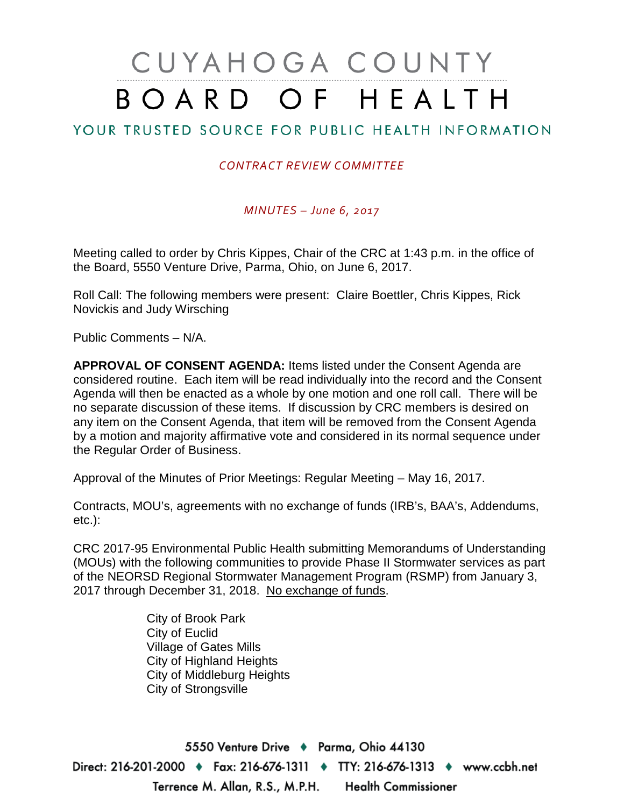# CUYAHOGA COUNTY BOARD OF HEALTH

## YOUR TRUSTED SOURCE FOR PUBLIC HEALTH INFORMATION

#### *CONTRACT REVIEW COMMITTEE*

#### *MINUTES – June 6, 2017*

Meeting called to order by Chris Kippes, Chair of the CRC at 1:43 p.m. in the office of the Board, 5550 Venture Drive, Parma, Ohio, on June 6, 2017.

Roll Call: The following members were present: Claire Boettler, Chris Kippes, Rick Novickis and Judy Wirsching

Public Comments – N/A.

**APPROVAL OF CONSENT AGENDA:** Items listed under the Consent Agenda are considered routine. Each item will be read individually into the record and the Consent Agenda will then be enacted as a whole by one motion and one roll call. There will be no separate discussion of these items. If discussion by CRC members is desired on any item on the Consent Agenda, that item will be removed from the Consent Agenda by a motion and majority affirmative vote and considered in its normal sequence under the Regular Order of Business.

Approval of the Minutes of Prior Meetings: Regular Meeting – May 16, 2017.

Contracts, MOU's, agreements with no exchange of funds (IRB's, BAA's, Addendums, etc.):

CRC 2017-95 Environmental Public Health submitting Memorandums of Understanding (MOUs) with the following communities to provide Phase II Stormwater services as part of the NEORSD Regional Stormwater Management Program (RSMP) from January 3, 2017 through December 31, 2018. No exchange of funds.

> City of Brook Park City of Euclid Village of Gates Mills City of Highland Heights City of Middleburg Heights City of Strongsville

5550 Venture Drive + Parma, Ohio 44130 Direct: 216-201-2000 ♦ Fax: 216-676-1311 ♦ TTY: 216-676-1313 ♦ www.ccbh.net Terrence M. Allan, R.S., M.P.H. **Health Commissioner**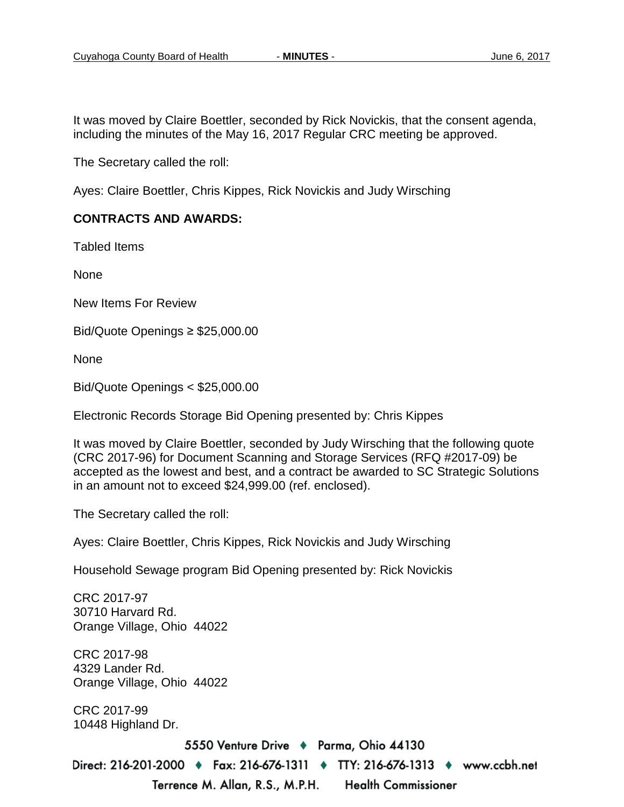It was moved by Claire Boettler, seconded by Rick Novickis, that the consent agenda, including the minutes of the May 16, 2017 Regular CRC meeting be approved.

The Secretary called the roll:

Ayes: Claire Boettler, Chris Kippes, Rick Novickis and Judy Wirsching

#### **CONTRACTS AND AWARDS:**

Tabled Items

None

New Items For Review

Bid/Quote Openings ≥ \$25,000.00

None

Bid/Quote Openings < \$25,000.00

Electronic Records Storage Bid Opening presented by: Chris Kippes

It was moved by Claire Boettler, seconded by Judy Wirsching that the following quote (CRC 2017-96) for Document Scanning and Storage Services (RFQ #2017-09) be accepted as the lowest and best, and a contract be awarded to SC Strategic Solutions in an amount not to exceed \$24,999.00 (ref. enclosed).

The Secretary called the roll:

Ayes: Claire Boettler, Chris Kippes, Rick Novickis and Judy Wirsching

Household Sewage program Bid Opening presented by: Rick Novickis

CRC 2017-97 30710 Harvard Rd. Orange Village, Ohio 44022 CRC 2017-98 4329 Lander Rd. Orange Village, Ohio 44022 CRC 2017-99 10448 Highland Dr.5550 Venture Drive → Parma, Ohio 44130 Direct: 216-201-2000 • Fax: 216-676-1311 • TTY: 216-676-1313 • www.ccbh.net Terrence M. Allan, R.S., M.P.H. **Health Commissioner**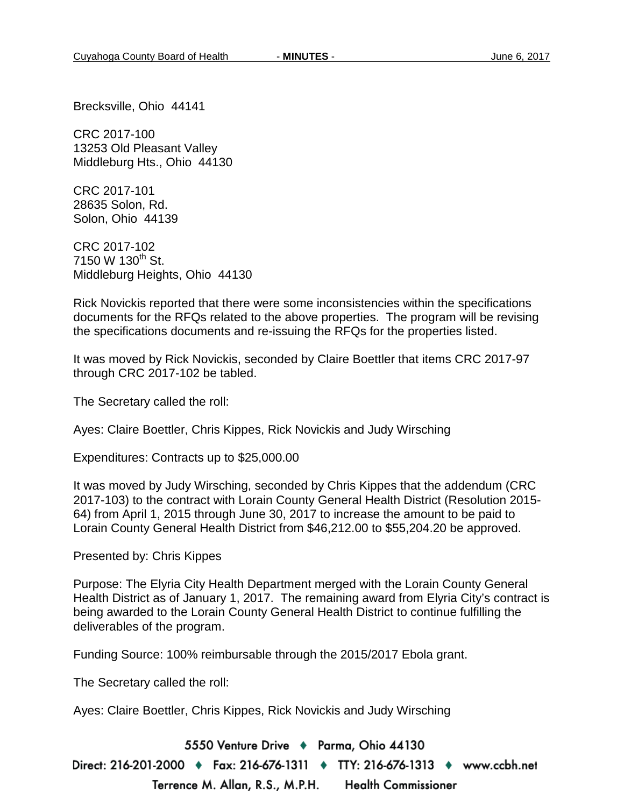Brecksville, Ohio 44141

CRC 2017-100 13253 Old Pleasant Valley Middleburg Hts., Ohio 44130

CRC 2017-101 28635 Solon, Rd. Solon, Ohio 44139

CRC 2017-102 7150 W 130<sup>th</sup> St. Middleburg Heights, Ohio 44130

Rick Novickis reported that there were some inconsistencies within the specifications documents for the RFQs related to the above properties. The program will be revising the specifications documents and re-issuing the RFQs for the properties listed.

It was moved by Rick Novickis, seconded by Claire Boettler that items CRC 2017-97 through CRC 2017-102 be tabled.

The Secretary called the roll:

Ayes: Claire Boettler, Chris Kippes, Rick Novickis and Judy Wirsching

Expenditures: Contracts up to \$25,000.00

It was moved by Judy Wirsching, seconded by Chris Kippes that the addendum (CRC 2017-103) to the contract with Lorain County General Health District (Resolution 2015- 64) from April 1, 2015 through June 30, 2017 to increase the amount to be paid to Lorain County General Health District from \$46,212.00 to \$55,204.20 be approved.

Presented by: Chris Kippes

Purpose: The Elyria City Health Department merged with the Lorain County General Health District as of January 1, 2017. The remaining award from Elyria City's contract is being awarded to the Lorain County General Health District to continue fulfilling the deliverables of the program.

Funding Source: 100% reimbursable through the 2015/2017 Ebola grant.

The Secretary called the roll:

Ayes: Claire Boettler, Chris Kippes, Rick Novickis and Judy Wirsching

5550 Venture Drive + Parma, Ohio 44130 Direct: 216-201-2000 ♦ Fax: 216-676-1311 ♦ TTY: 216-676-1313 ♦ www.ccbh.net

Terrence M. Allan, R.S., M.P.H. **Health Commissioner**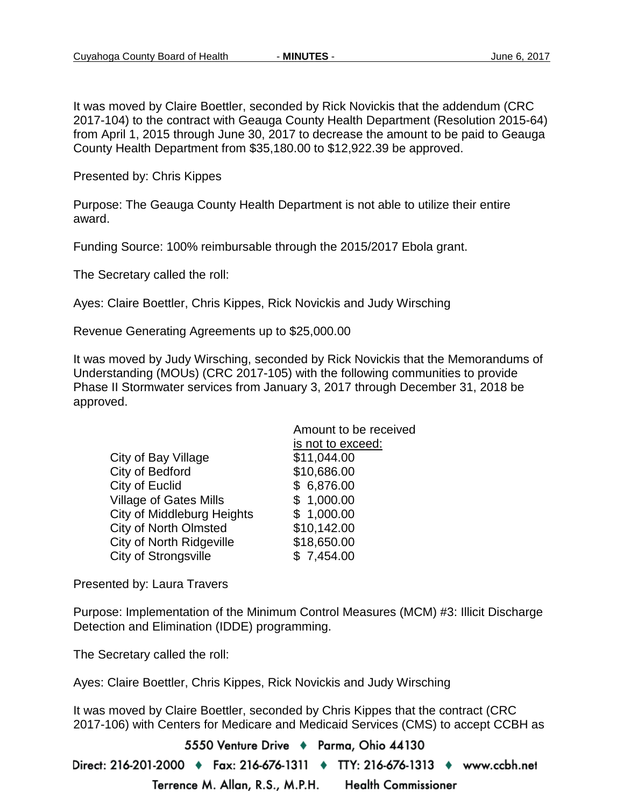It was moved by Claire Boettler, seconded by Rick Novickis that the addendum (CRC 2017-104) to the contract with Geauga County Health Department (Resolution 2015-64) from April 1, 2015 through June 30, 2017 to decrease the amount to be paid to Geauga County Health Department from \$35,180.00 to \$12,922.39 be approved.

Presented by: Chris Kippes

Purpose: The Geauga County Health Department is not able to utilize their entire award.

Funding Source: 100% reimbursable through the 2015/2017 Ebola grant.

The Secretary called the roll:

Ayes: Claire Boettler, Chris Kippes, Rick Novickis and Judy Wirsching

Revenue Generating Agreements up to \$25,000.00

It was moved by Judy Wirsching, seconded by Rick Novickis that the Memorandums of Understanding (MOUs) (CRC 2017-105) with the following communities to provide Phase II Stormwater services from January 3, 2017 through December 31, 2018 be approved.

| Amount to be received |
|-----------------------|
| is not to exceed:     |
| \$11,044.00           |
| \$10,686.00           |
| \$6,876.00            |
| \$1,000.00            |
| \$1,000.00            |
| \$10,142.00           |
| \$18,650.00           |
| \$7,454.00            |
|                       |

Presented by: Laura Travers

Purpose: Implementation of the Minimum Control Measures (MCM) #3: Illicit Discharge Detection and Elimination (IDDE) programming.

The Secretary called the roll:

Ayes: Claire Boettler, Chris Kippes, Rick Novickis and Judy Wirsching

It was moved by Claire Boettler, seconded by Chris Kippes that the contract (CRC 2017-106) with Centers for Medicare and Medicaid Services (CMS) to accept CCBH as

5550 Venture Drive → Parma, Ohio 44130 Direct: 216-201-2000 ♦ Fax: 216-676-1311 ♦ TTY: 216-676-1313 ♦ www.ccbh.net Terrence M. Allan, R.S., M.P.H. **Health Commissioner**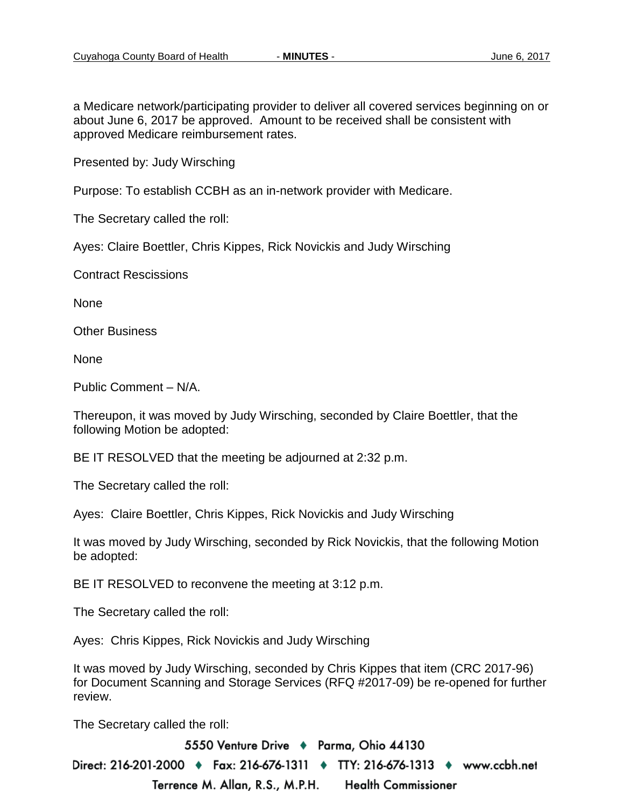a Medicare network/participating provider to deliver all covered services beginning on or about June 6, 2017 be approved. Amount to be received shall be consistent with approved Medicare reimbursement rates.

Presented by: Judy Wirsching

Purpose: To establish CCBH as an in-network provider with Medicare.

The Secretary called the roll:

Ayes: Claire Boettler, Chris Kippes, Rick Novickis and Judy Wirsching

Contract Rescissions

None

Other Business

None

Public Comment – N/A.

Thereupon, it was moved by Judy Wirsching, seconded by Claire Boettler, that the following Motion be adopted:

BE IT RESOLVED that the meeting be adjourned at 2:32 p.m.

The Secretary called the roll:

Ayes: Claire Boettler, Chris Kippes, Rick Novickis and Judy Wirsching

It was moved by Judy Wirsching, seconded by Rick Novickis, that the following Motion be adopted:

BE IT RESOLVED to reconvene the meeting at 3:12 p.m.

The Secretary called the roll:

Ayes: Chris Kippes, Rick Novickis and Judy Wirsching

It was moved by Judy Wirsching, seconded by Chris Kippes that item (CRC 2017-96) for Document Scanning and Storage Services (RFQ #2017-09) be re-opened for further review.

The Secretary called the roll:

5550 Venture Drive → Parma, Ohio 44130 Direct: 216-201-2000 ♦ Fax: 216-676-1311 ♦ TTY: 216-676-1313 ♦ www.ccbh.net Terrence M. Allan, R.S., M.P.H. Health Commissioner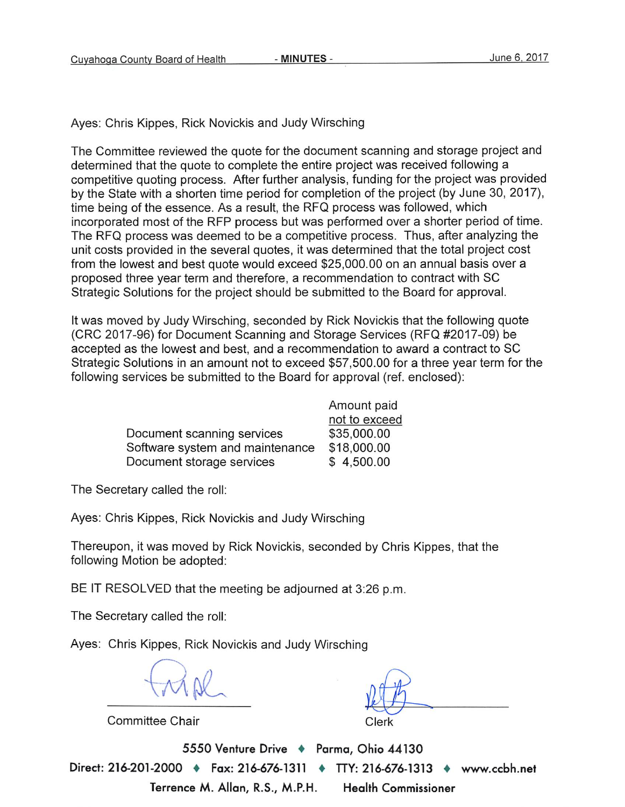Ayes: Chris Kippes, Rick Novickis and Judy Wirsching

The Committee reviewed the quote for the document scanning and storage project and determined that the quote to complete the entire project was received following a competitive quoting process. After further analysis, funding for the project was provided by the State with a shorten time period for completion of the project (by June 30, 2017), time being of the essence. As a result, the RFQ process was followed, which incorporated most of the RFP process but was performed over a shorter period of time. The RFQ process was deemed to be a competitive process. Thus, after analyzing the unit costs provided in the several quotes, it was determined that the total project cost from the lowest and best quote would exceed \$25,000.00 on an annual basis over a proposed three year term and therefore, a recommendation to contract with SC Strategic Solutions for the project should be submitted to the Board for approval.

It was moved by Judy Wirsching, seconded by Rick Novickis that the following quote (CRC 2017-96) for Document Scanning and Storage Services (RFQ #2017-09) be accepted as the lowest and best, and a recommendation to award a contract to SC Strategic Solutions in an amount not to exceed \$57,500.00 for a three year term for the following services be submitted to the Board for approval (ref. enclosed):

|                                 | Amount paid   |
|---------------------------------|---------------|
|                                 | not to exceed |
| Document scanning services      | \$35,000.00   |
| Software system and maintenance | \$18,000.00   |
| Document storage services       | \$4,500.00    |

The Secretary called the roll:

Ayes: Chris Kippes, Rick Novickis and Judy Wirsching

Thereupon, it was moved by Rick Novickis, seconded by Chris Kippes, that the following Motion be adopted:

BE IT RESOLVED that the meeting be adjourned at 3:26 p.m.

The Secretary called the roll:

Ayes: Chris Kippes, Rick Novickis and Judy Wirsching

**Committee Chair** 

5550 Venture Drive + Parma, Ohio 44130 Direct: 216-201-2000 ♦ Fax: 216-676-1311 ♦ TTY: 216-676-1313 ♦ www.ccbh.net Terrence M. Allan, R.S., M.P.H. **Health Commissioner**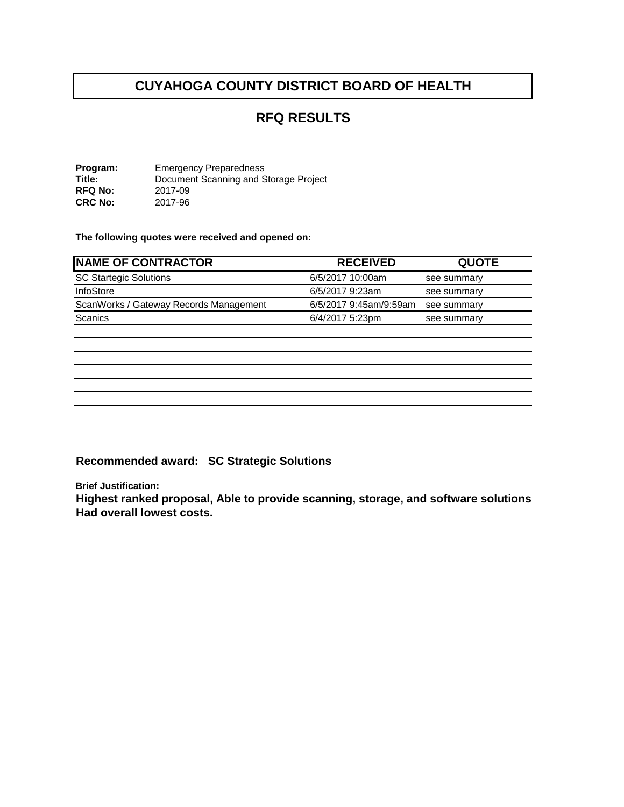# **CUYAHOGA COUNTY DISTRICT BOARD OF HEALTH**

### **RFQ RESULTS**

**Program:** Emergency Preparedness<br> **Title:** Document Scanning and S **Title:** Document Scanning and Storage Project<br>RFQ No: 2017-09 **RFQ No:** 2017-09 **CRC No:** 2017-96

**The following quotes were received and opened on:** 

| <b>RECEIVED</b>        | <b>QUOTE</b> |
|------------------------|--------------|
| 6/5/2017 10:00am       | see summary  |
| 6/5/2017 9:23am        | see summary  |
| 6/5/2017 9:45am/9:59am | see summary  |
| 6/4/2017 5:23pm        | see summary  |
|                        |              |
|                        |              |
|                        |              |

**Recommended award: SC Strategic Solutions**

**Brief Justification:**

**Highest ranked proposal, Able to provide scanning, storage, and software solutions Had overall lowest costs.**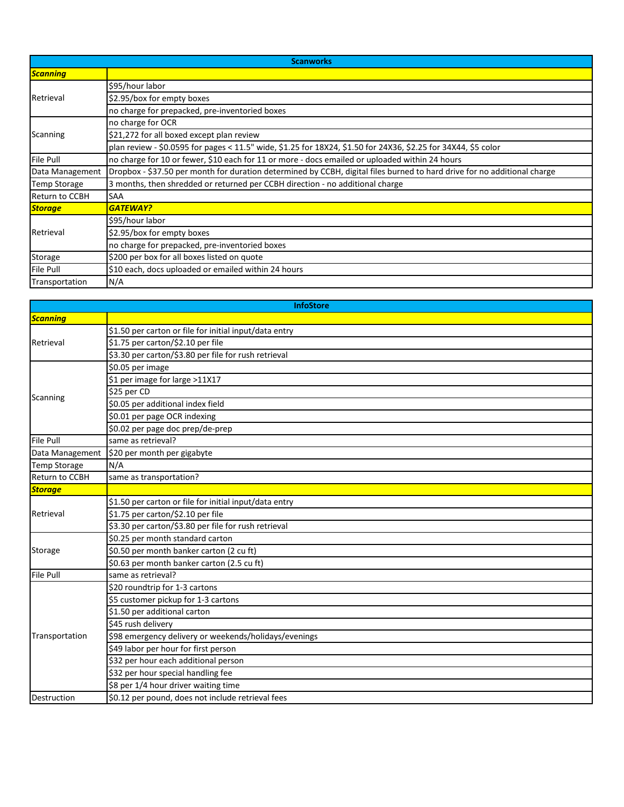| <b>Scanworks</b>    |                                                                                                                          |  |
|---------------------|--------------------------------------------------------------------------------------------------------------------------|--|
| <b>Scanning</b>     |                                                                                                                          |  |
| Retrieval           | \$95/hour labor                                                                                                          |  |
|                     | \$2.95/box for empty boxes                                                                                               |  |
|                     | no charge for prepacked, pre-inventoried boxes                                                                           |  |
|                     | no charge for OCR                                                                                                        |  |
| <b>Scanning</b>     | \$21,272 for all boxed except plan review                                                                                |  |
|                     | plan review - \$0.0595 for pages < 11.5" wide, \$1.25 for 18X24, \$1.50 for 24X36, \$2.25 for 34X44, \$5 color           |  |
| <b>File Pull</b>    | no charge for 10 or fewer, \$10 each for 11 or more - docs emailed or uploaded within 24 hours                           |  |
| Data Management     | Dropbox - \$37.50 per month for duration determined by CCBH, digital files burned to hard drive for no additional charge |  |
| <b>Temp Storage</b> | 3 months, then shredded or returned per CCBH direction - no additional charge                                            |  |
| Return to CCBH      | <b>SAA</b>                                                                                                               |  |
| <b>Storage</b>      | <b>GATEWAY?</b>                                                                                                          |  |
| Retrieval           | \$95/hour labor                                                                                                          |  |
|                     | \$2.95/box for empty boxes                                                                                               |  |
|                     | no charge for prepacked, pre-inventoried boxes                                                                           |  |
| Storage             | \$200 per box for all boxes listed on quote                                                                              |  |
| <b>File Pull</b>    | \$10 each, docs uploaded or emailed within 24 hours                                                                      |  |
| Transportation      | N/A                                                                                                                      |  |

| <b>InfoStore</b>    |                                                        |
|---------------------|--------------------------------------------------------|
| Scanning            |                                                        |
| Retrieval           | \$1.50 per carton or file for initial input/data entry |
|                     | \$1.75 per carton/\$2.10 per file                      |
|                     | \$3.30 per carton/\$3.80 per file for rush retrieval   |
|                     | \$0.05 per image                                       |
|                     | \$1 per image for large >11X17                         |
|                     | \$25 per CD                                            |
| <b>Scanning</b>     | \$0.05 per additional index field                      |
|                     | \$0.01 per page OCR indexing                           |
|                     | \$0.02 per page doc prep/de-prep                       |
| <b>File Pull</b>    | same as retrieval?                                     |
| Data Management     | \$20 per month per gigabyte                            |
| <b>Temp Storage</b> | N/A                                                    |
| Return to CCBH      | same as transportation?                                |
| <b>Storage</b>      |                                                        |
|                     | \$1.50 per carton or file for initial input/data entry |
| Retrieval           | \$1.75 per carton/\$2.10 per file                      |
|                     | \$3.30 per carton/\$3.80 per file for rush retrieval   |
|                     | \$0.25 per month standard carton                       |
| Storage             | $\frac{1}{50.50}$ per month banker carton (2 cu ft)    |
|                     | \$0.63 per month banker carton (2.5 cu ft)             |
| File Pull           | same as retrieval?                                     |
|                     | \$20 roundtrip for 1-3 cartons                         |
|                     | \$5 customer pickup for 1-3 cartons                    |
|                     | \$1.50 per additional carton                           |
|                     | \$45 rush delivery                                     |
| Transportation      | \$98 emergency delivery or weekends/holidays/evenings  |
|                     | \$49 labor per hour for first person                   |
|                     | \$32 per hour each additional person                   |
|                     | \$32 per hour special handling fee                     |
|                     | \$8 per 1/4 hour driver waiting time                   |
| <b>Destruction</b>  | \$0.12 per pound, does not include retrieval fees      |